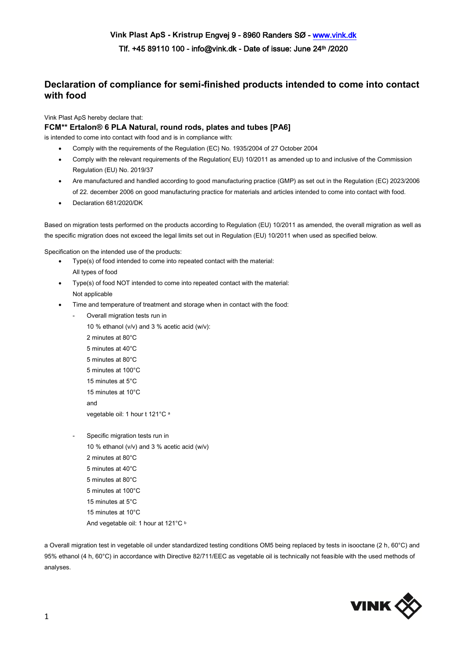## **Declaration of compliance for semi-finished products intended to come into contact with food**

Vink Plast ApS hereby declare that:

## **FCM\*\* Ertalon® 6 PLA Natural, round rods, plates and tubes [PA6]**

is intended to come into contact with food and is in compliance with:

- Comply with the requirements of the Regulation (EC) No. 1935/2004 of 27 October 2004
- Comply with the relevant requirements of the Regulation( EU) 10/2011 as amended up to and inclusive of the Commission Regulation (EU) No. 2019/37
- Are manufactured and handled according to good manufacturing practice (GMP) as set out in the Regulation (EC) 2023/2006 of 22. december 2006 on good manufacturing practice for materials and articles intended to come into contact with food.
- Declaration 681/2020/DK

Based on migration tests performed on the products according to Regulation (EU) 10/2011 as amended, the overall migration as well as the specific migration does not exceed the legal limits set out in Regulation (EU) 10/2011 when used as specified below.

Specification on the intended use of the products:

- Type(s) of food intended to come into repeated contact with the material: All types of food
- Type(s) of food NOT intended to come into repeated contact with the material: Not applicable
- Time and temperature of treatment and storage when in contact with the food:
	- Overall migration tests run in

10 % ethanol (v/v) and 3 % acetic acid (w/v): 2 minutes at 80°C 5 minutes at 40°C 5 minutes at 80°C 5 minutes at 100°C 15 minutes at 5°C 15 minutes at 10°C and vegetable oil: 1 hour t 121°C <sup>a</sup>

Specific migration tests run in 10 % ethanol (v/v) and 3 % acetic acid (w/v) 2 minutes at 80°C 5 minutes at 40°C 5 minutes at 80°C 5 minutes at 100°C 15 minutes at 5°C 15 minutes at 10°C And vegetable oil: 1 hour at 121°C b

a Overall migration test in vegetable oil under standardized testing conditions OM5 being replaced by tests in isooctane (2 h, 60°C) and 95% ethanol (4 h, 60°C) in accordance with Directive 82/711/EEC as vegetable oil is technically not feasible with the used methods of analyses.

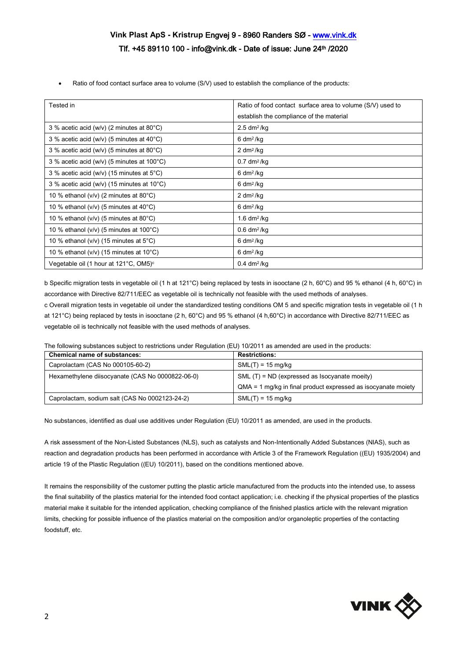## **Vink Plast ApS - Kristrup** Engvej 9 - 8960 Randers SØ - [www.vink.dk](http://www.vink.dk/)  Tlf. +45 89110 100 - info@vink.dk - Date of issue: June 24th /2020

Ratio of food contact surface area to volume (S/V) used to establish the compliance of the products:

| Tested in                                              | Ratio of food contact surface area to volume (S/V) used to |
|--------------------------------------------------------|------------------------------------------------------------|
|                                                        | establish the compliance of the material                   |
| 3 % acetic acid (w/v) (2 minutes at $80^{\circ}$ C)    | $2.5$ dm <sup>2</sup> /kg                                  |
| 3 % acetic acid (w/v) (5 minutes at $40^{\circ}$ C)    | $6 \, \text{dm}^2/\text{kg}$                               |
| 3 % acetic acid (w/v) (5 minutes at $80^{\circ}$ C)    | $2 \, \text{dm}^2/\text{kg}$                               |
| 3 % acetic acid (w/v) (5 minutes at 100°C)             | $0.7$ dm <sup>2</sup> /kg                                  |
| 3 % acetic acid (w/v) (15 minutes at $5^{\circ}$ C)    | $6 \, \text{dm}^2/\text{kg}$                               |
| 3 % acetic acid (w/v) (15 minutes at $10^{\circ}$ C)   | $6 \, \text{dm}^2/\text{kg}$                               |
| 10 % ethanol ( $v/v$ ) (2 minutes at 80 $^{\circ}$ C)  | $2 \, \text{dm}^2/\text{kg}$                               |
| 10 % ethanol ( $v/v$ ) (5 minutes at 40 $^{\circ}$ C)  | $6 \, \text{dm}^2/\text{kg}$                               |
| 10 % ethanol ( $v/v$ ) (5 minutes at 80 $^{\circ}$ C)  | 1.6 $dm^2/kg$                                              |
| 10 % ethanol ( $v/v$ ) (5 minutes at 100 $^{\circ}$ C) | $0.6$ dm <sup>2</sup> /kg                                  |
| 10 % ethanol ( $v/v$ ) (15 minutes at $5^{\circ}$ C)   | $6 \, \text{dm}^2/\text{kg}$                               |
| 10 % ethanol ( $v/v$ ) (15 minutes at 10 $^{\circ}$ C) | $6 \, \text{dm}^2/\text{kg}$                               |
| Vegetable oil (1 hour at 121°C, OM5) <sup>c</sup>      | $0.4$ dm <sup>2</sup> /kg                                  |

b Specific migration tests in vegetable oil (1 h at 121°C) being replaced by tests in isooctane (2 h, 60°C) and 95 % ethanol (4 h, 60°C) in accordance with Directive 82/711/EEC as vegetable oil is technically not feasible with the used methods of analyses.

c Overall migration tests in vegetable oil under the standardized testing conditions OM 5 and specific migration tests in vegetable oil (1 h at 121°C) being replaced by tests in isooctane (2 h, 60°C) and 95 % ethanol (4 h,60°C) in accordance with Directive 82/711/EEC as vegetable oil is technically not feasible with the used methods of analyses.

The following substances subject to restrictions under Regulation (EU) 10/2011 as amended are used in the products:

| <b>Chemical name of substances:</b>              | <b>Restrictions:</b>                                            |
|--------------------------------------------------|-----------------------------------------------------------------|
| Caprolactam (CAS No 000105-60-2)                 | $SML(T) = 15$ mg/kg                                             |
| Hexamethylene diisocyanate (CAS No 0000822-06-0) | $SML(T) = ND$ (expressed as Isocyanate moeity)                  |
|                                                  | $QMA = 1$ mg/kg in final product expressed as isocyanate moiety |
| Caprolactam, sodium salt (CAS No 0002123-24-2)   | $SML(T) = 15$ mg/kg                                             |

No substances, identified as dual use additives under Regulation (EU) 10/2011 as amended, are used in the products.

A risk assessment of the Non-Listed Substances (NLS), such as catalysts and Non-Intentionally Added Substances (NIAS), such as reaction and degradation products has been performed in accordance with Article 3 of the Framework Regulation ((EU) 1935/2004) and article 19 of the Plastic Regulation ((EU) 10/2011), based on the conditions mentioned above.

It remains the responsibility of the customer putting the plastic article manufactured from the products into the intended use, to assess the final suitability of the plastics material for the intended food contact application; i.e. checking if the physical properties of the plastics material make it suitable for the intended application, checking compliance of the finished plastics article with the relevant migration limits, checking for possible influence of the plastics material on the composition and/or organoleptic properties of the contacting foodstuff, etc.